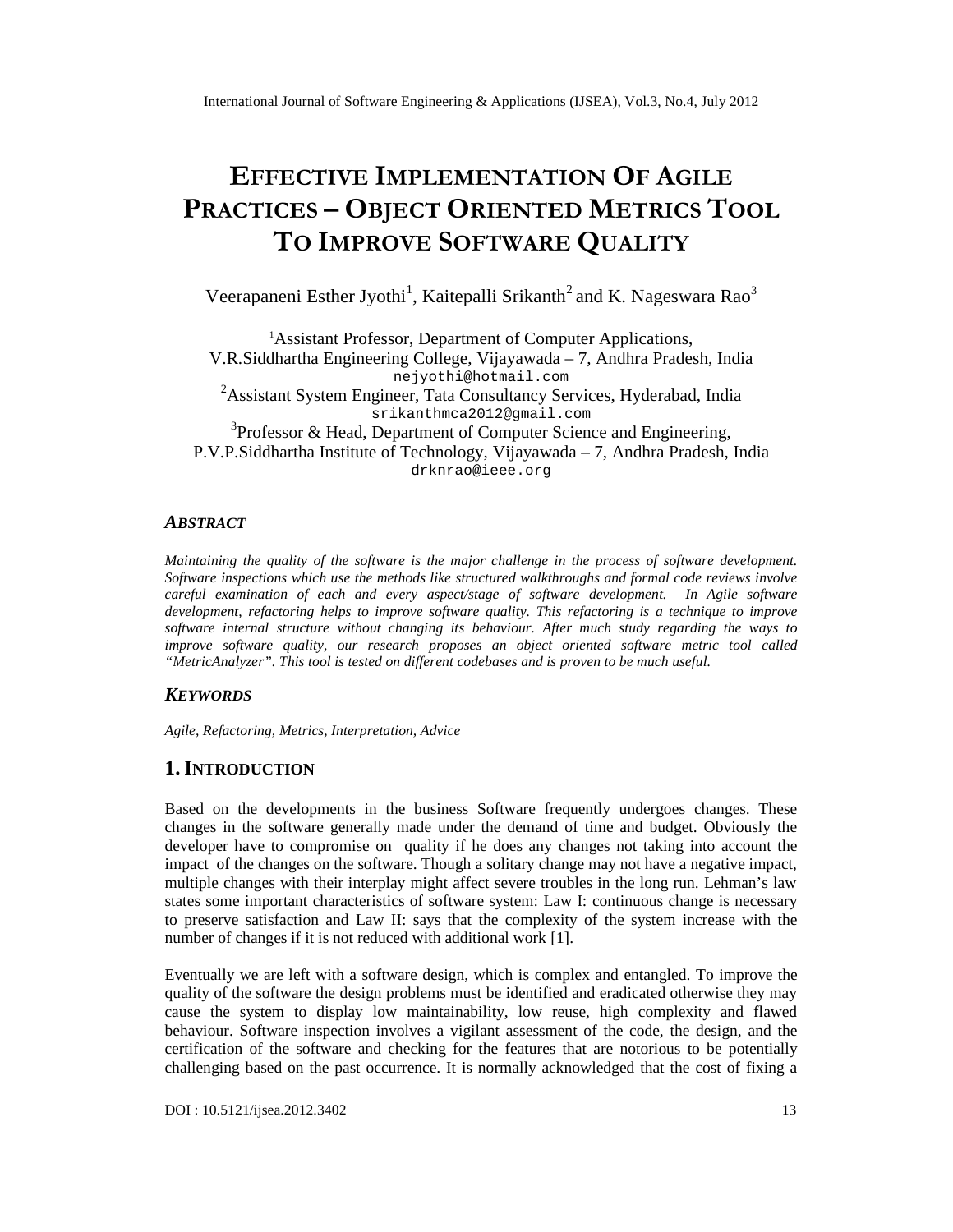# EFFECTIVMEPLEMENTATIOFNAGILE PRACTICE **O**BJEC **O**RIENTE METRIC<sup>T</sup>SOOL TO IMPROVED FTWAREU ALITY

Veerapaneni Esther JyothKaitepalli Srikant $\hat{\mathsf{h}}$ and K. Nageswara Rảo

<sup>1</sup>Assistant ProfessoDepartmentof Computer Applications, V.R. Siddhartha Engieering College, Vijayawada7, Andhra Pradesh, India [nejyothi@hotmail.com](mailto:nejyothi@hotmail.com) <sup>2</sup>Assistant System Engiee Tata Consultancy Services, Hyderabad, India [srikanthmca201](mailto:srikanthmca2012@gmail.com) 2@gmail.com <sup>3</sup>Professor & Head, Department of Computer Science and Engineering, P.V.P.Siddhartha Institute of Technolooyijayawada€7, Andhra Pradesh, India [drknrao@ieee.org](mailto:drknrao@ieee.org)

#### **ABSTRACT**

Maintaining the qualityof the software is the major challenge in the process of software development. Software inspection which use the methods like structured walkthroughs and formal code reviews involve careful examination of each and every aspect/stage of software developminen Agile software development, refactoring helps to improve software quality refactoring is a technique to improve software internal structure without changing its behaviolatter much study regarding the ways to improve software quality, our search proposes an object oriented software metric toalled €MetricAnalyzer• . This tool is tested on different codebases and is proven to be much usefu l.

#### **KEYWORDS**

Agile, RefactoringMetrics, Interpretation, Advice

## 1.I NTRODUCTION

Based on the delopments in the business Software frequently undergoes changes. These changes in the software generally made under the demand of time and budget. Obviously the developer have to compromise on quality if he does any changes not taking into account the impact of the changes on the software. Though a solitary change may not have a negative impact, multiple changes with their interplay might affect severe troubles in the long run. Lehman•s law states some important characteristics of software system: Law it fluous change is necessary to preserve satisfaction and Law II: says that the complexity of the system increase with the number of changes if it is not reduced with additional work

Eventually we are left with a software design, which is complex entangled. To improve the quality of the software the design problems must be identified and eradicated otherwise they may cause the system to display low maintainability, low reuse, high complexity and flawed behaviour. Software inspection involves in the assessment of the code, the design, and the certification of the software and checking for the features that are notorious to be potentially challenging based on the past occurrence. It is normally acknowledged that the cost of fixing a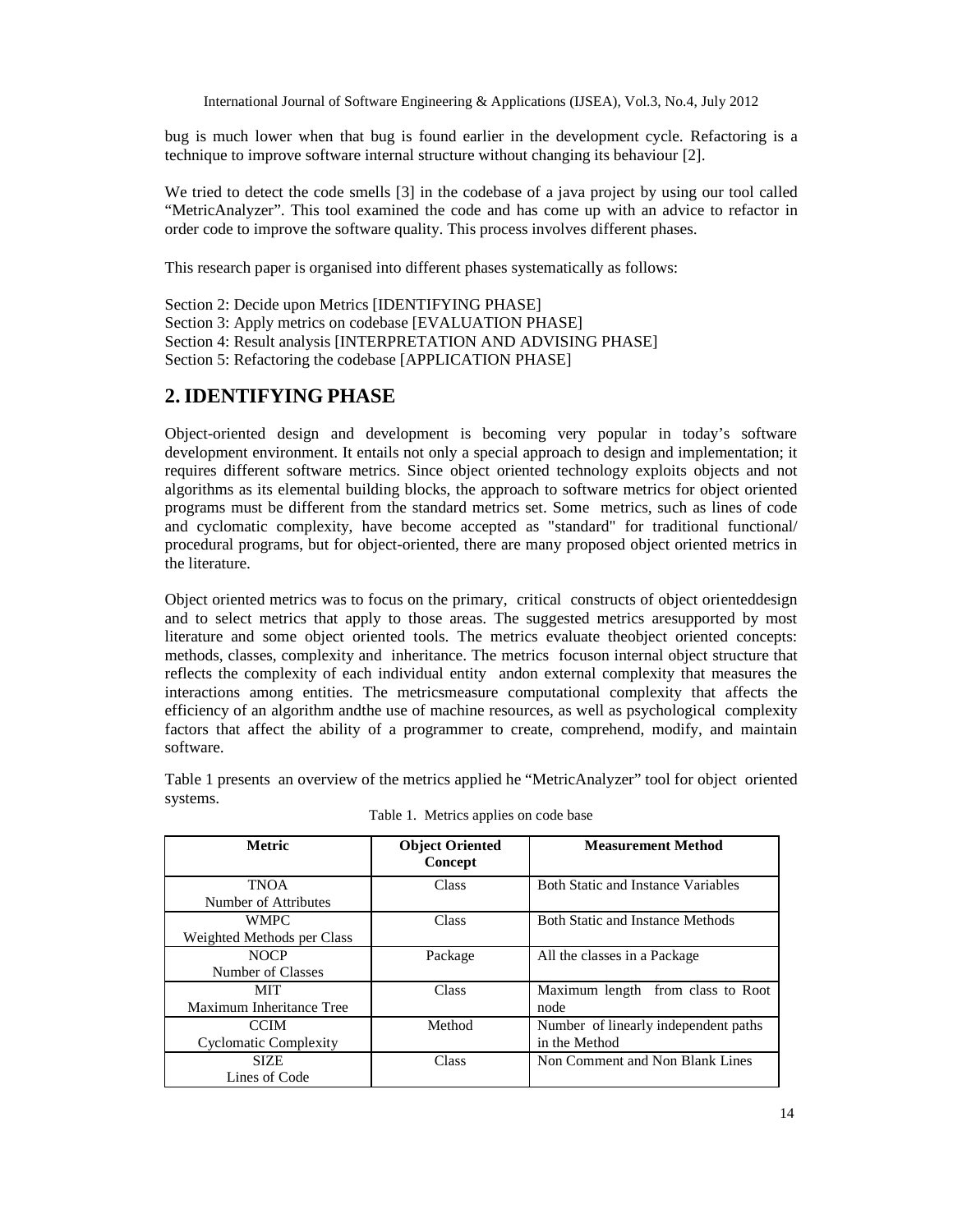bug is much lower when that bug is found earlier in the development cycle. Refactoring is a technique to improve software internal structure without changing its behaviour [2].

We tried to detect the code smells [3] in the codebase of a java project by using our tool called "MetricAnalyzer". This tool examined the code and has come up with an advice to refactor in order code to improve the software quality. This process involves different phases.

This research paper is organised into different phases systematically as follows:

Section 2: Decide upon Metrics [IDENTIFYING PHASE] Section 3: Apply metrics on codebase [EVALUATION PHASE] Section 4: Result analysis [INTERPRETATION AND ADVISING PHASE] Section 5: Refactoring the codebase [APPLICATION PHASE]

# **2. IDENTIFYING PHASE**

Object-oriented design and development is becoming very popular in today's software development environment. It entails not only a special approach to design and implementation; it requires different software metrics. Since object oriented technology exploits objects and not algorithms as its elemental building blocks, the approach to software metrics for object oriented programs must be different from the standard metrics set. Some metrics, such as lines of code and cyclomatic complexity, have become accepted as "standard" for traditional functional/ procedural programs, but for object-oriented, there are many proposed object oriented metrics in the literature.

Object oriented metrics was to focus on the primary, critical constructs of object orienteddesign and to select metrics that apply to those areas. The suggested metrics aresupported by most literature and some object oriented tools. The metrics evaluate theobject oriented concepts: methods, classes, complexity and inheritance. The metrics focuson internal object structure that reflects the complexity of each individual entity andon external complexity that measures the interactions among entities. The metricsmeasure computational complexity that affects the efficiency of an algorithm andthe use of machine resources, as well as psychological complexity factors that affect the ability of a programmer to create, comprehend, modify, and maintain software.

Table 1 presents an overview of the metrics applied he "MetricAnalyzer" tool for object oriented systems.

| <b>Metric</b>                | <b>Object Oriented</b><br>Concept | <b>Measurement Method</b>                 |
|------------------------------|-----------------------------------|-------------------------------------------|
| <b>TNOA</b>                  | Class                             | <b>Both Static and Instance Variables</b> |
| Number of Attributes         |                                   |                                           |
| <b>WMPC</b>                  | Class                             | <b>Both Static and Instance Methods</b>   |
| Weighted Methods per Class   |                                   |                                           |
| <b>NOCP</b>                  | Package                           | All the classes in a Package              |
| Number of Classes            |                                   |                                           |
| <b>MIT</b>                   | Class                             | Maximum length from class to Root         |
| Maximum Inheritance Tree     |                                   | node                                      |
| <b>CCIM</b>                  | Method                            | Number of linearly independent paths      |
| <b>Cyclomatic Complexity</b> |                                   | in the Method                             |
| <b>SIZE</b>                  | Class                             | Non Comment and Non Blank Lines           |
| Lines of Code                |                                   |                                           |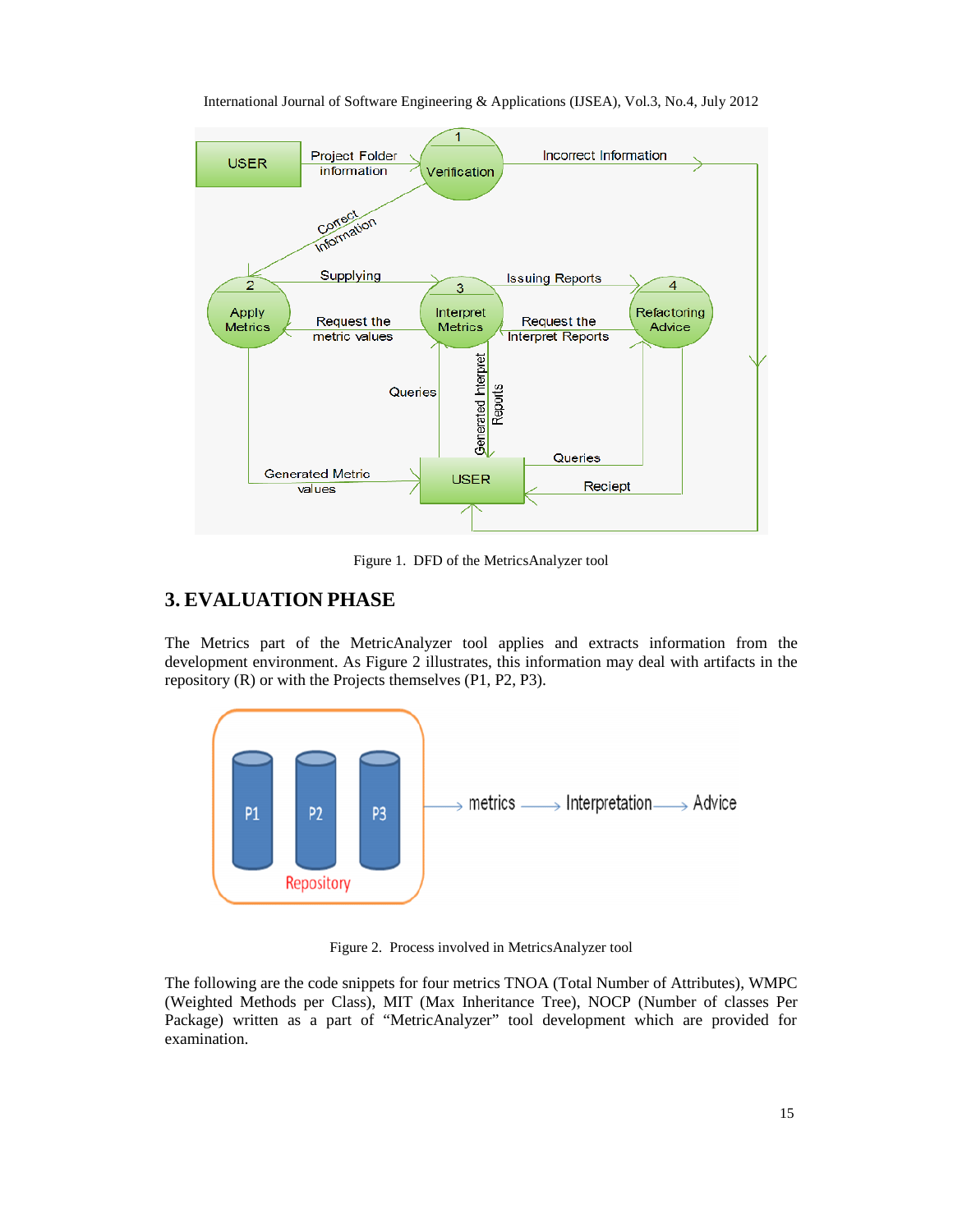

Figure 1. DFD of the MetricsAnalyzer tool

# **3. EVALUATION PHASE**

The Metrics part of the MetricAnalyzer tool applies and extracts information from the development environment. As Figure 2 illustrates, this information may deal with artifacts in the repository (R) or with the Projects themselves (P1, P2, P3).



Figure 2. Process involved in MetricsAnalyzer tool

The following are the code snippets for four metrics TNOA (Total Number of Attributes), WMPC (Weighted Methods per Class), MIT (Max Inheritance Tree), NOCP (Number of classes Per Package) written as a part of "MetricAnalyzer" tool development which are provided for examination.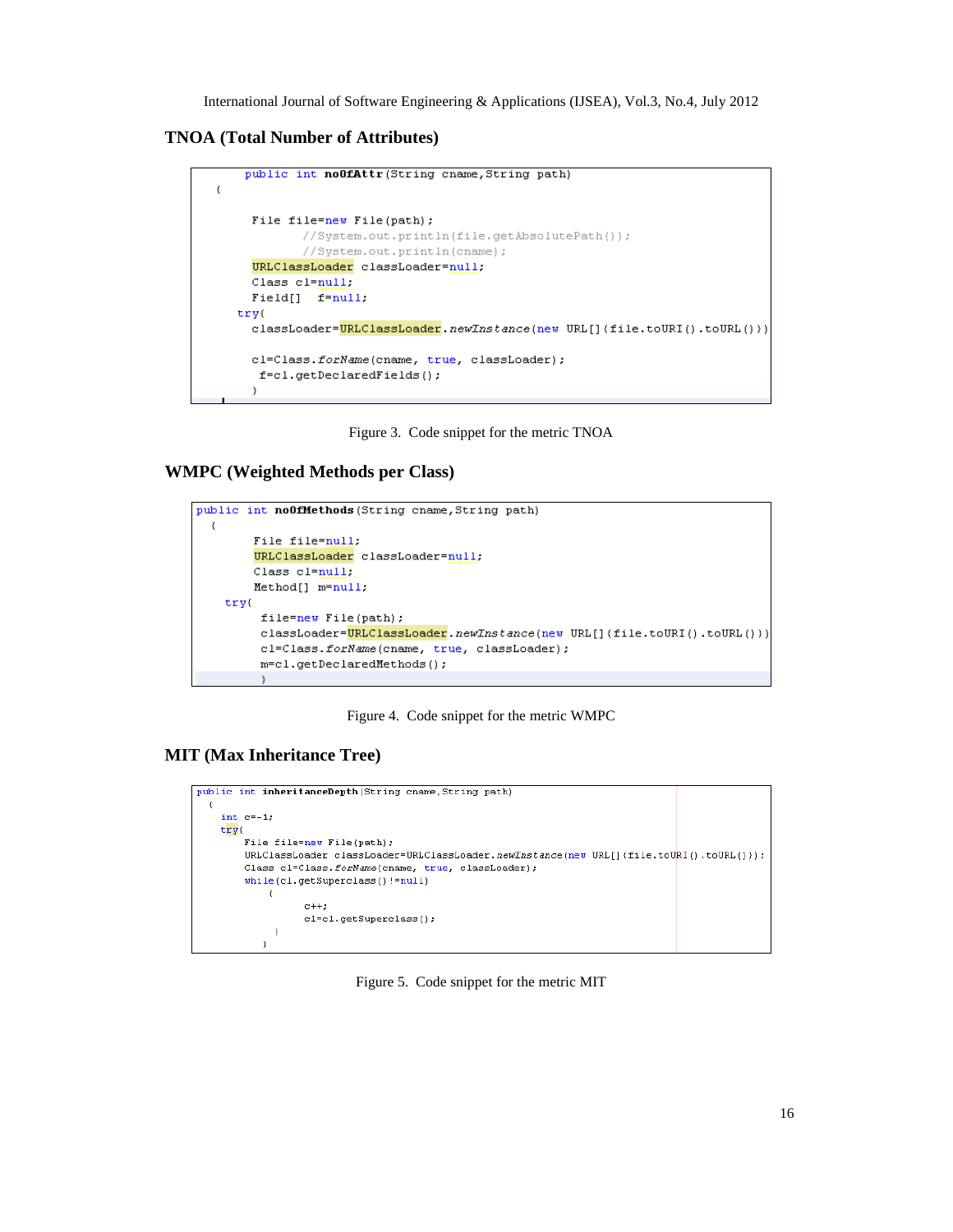## **TNOA (Total Number of Attributes)**



Figure 3. Code snippet for the metric TNOA

#### **WMPC (Weighted Methods per Class)**

```
public int noOfMethods (String cname, String path)
\{File file=null:
      URLClassLoader classLoader=null.
      Class cl=null;
      Method[] m=null:
  try(
       file=new File(path);
       classLoader=URLClassLoader.newTnstance(new URL[]{file.toURI().toURL()})
       cl=Class.forName(cname, true, classLoader);
       m = c1.getDec1 are dMethods();
```
Figure 4. Code snippet for the metric WMPC

#### **MIT (Max Inheritance Tree)**



Figure 5. Code snippet for the metric MIT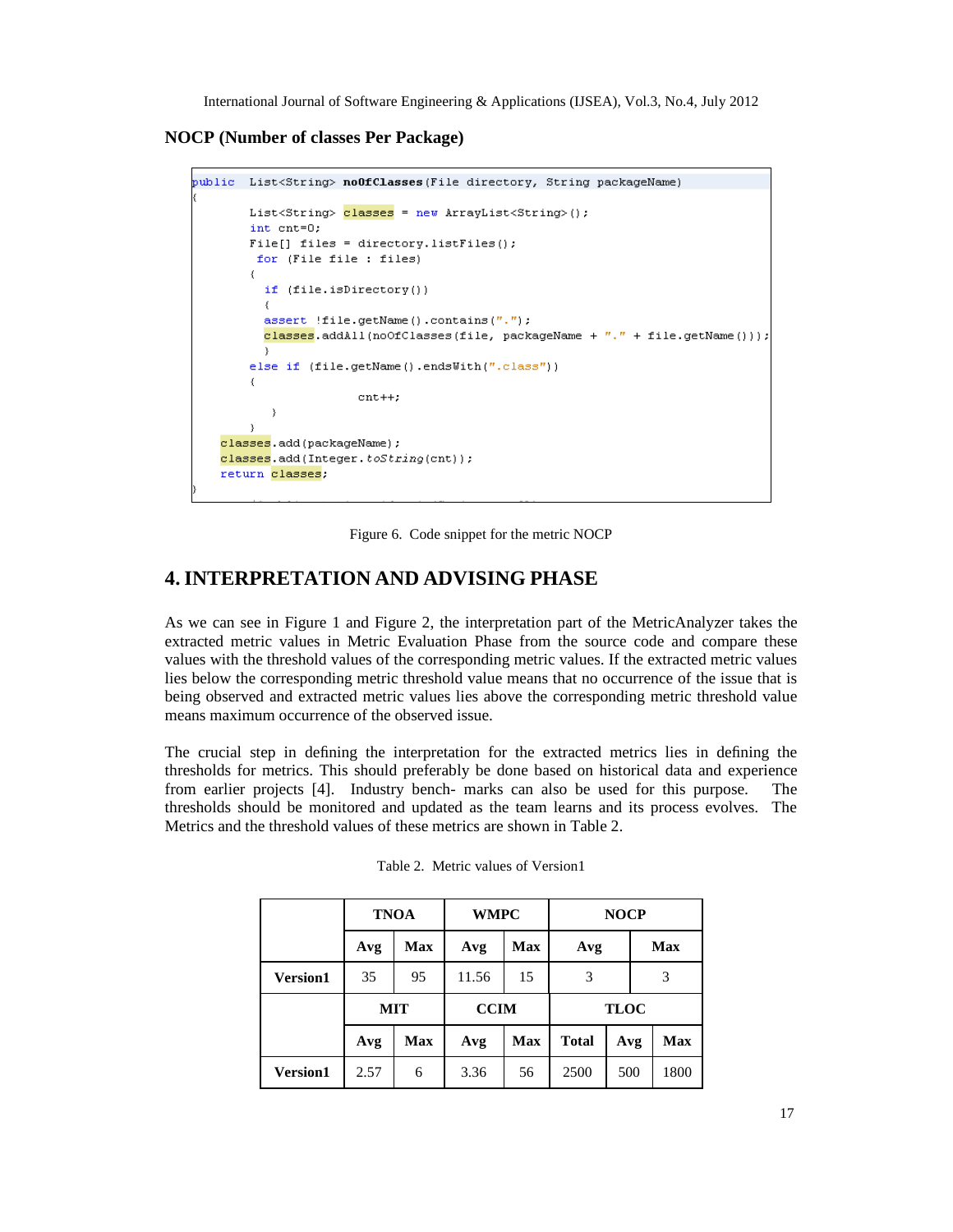#### **NOCP (Number of classes Per Package)**

```
ublic List<String> noOfClasses (File directory, String packageName)
     List<String> classes = new ArrayList<String>();
     int cnt=0:
     File[] files = directory.listFiles();
      for (File file : files)
     €
       if (file.isDirectory())
       €
       assert !file.getName().contains(".");
       <mark>classes</mark>.addAll(noOfClasses(file, packageName + "." + file.getName()));
       λ.
     else if (file.getName().endsWith(".class"))
     \left\{ \right.cnt++;-)
     \,classes.add(packageName);
 classes.add(Integer.toString(cnt));
 return classes;
```
Figure 6. Code snippet for the metric NOCP

# **4. INTERPRETATION AND ADVISING PHASE**

As we can see in Figure 1 and Figure 2, the interpretation part of the MetricAnalyzer takes the extracted metric values in Metric Evaluation Phase from the source code and compare these values with the threshold values of the corresponding metric values. If the extracted metric values lies below the corresponding metric threshold value means that no occurrence of the issue that is being observed and extracted metric values lies above the corresponding metric threshold value means maximum occurrence of the observed issue.

The crucial step in defining the interpretation for the extracted metrics lies in defining the thresholds for metrics. This should preferably be done based on historical data and experience from earlier projects [4]. Industry bench- marks can also be used for this purpose. The thresholds should be monitored and updated as the team learns and its process evolves. The Metrics and the threshold values of these metrics are shown in Table 2.

|                 | <b>TNOA</b> |            | <b>WMPC</b> |            | <b>NOCP</b>         |     |            |  |  |
|-----------------|-------------|------------|-------------|------------|---------------------|-----|------------|--|--|
|                 | Avg         | Max        | Avg         | <b>Max</b> | Avg                 |     | <b>Max</b> |  |  |
| <b>Version1</b> | 35          | 95         | 11.56       | 15         | 3                   |     | 3          |  |  |
|                 | MIT         |            | <b>CCIM</b> |            | <b>TLOC</b>         |     |            |  |  |
|                 | Avg         | <b>Max</b> | Avg         | <b>Max</b> | <b>Total</b><br>Avg |     | <b>Max</b> |  |  |
| <b>Version1</b> | 2.57        | 6          | 3.36        | 56         | 2500                | 500 | 1800       |  |  |

|  |  |  |  | Table 2. Metric values of Version1 |
|--|--|--|--|------------------------------------|
|--|--|--|--|------------------------------------|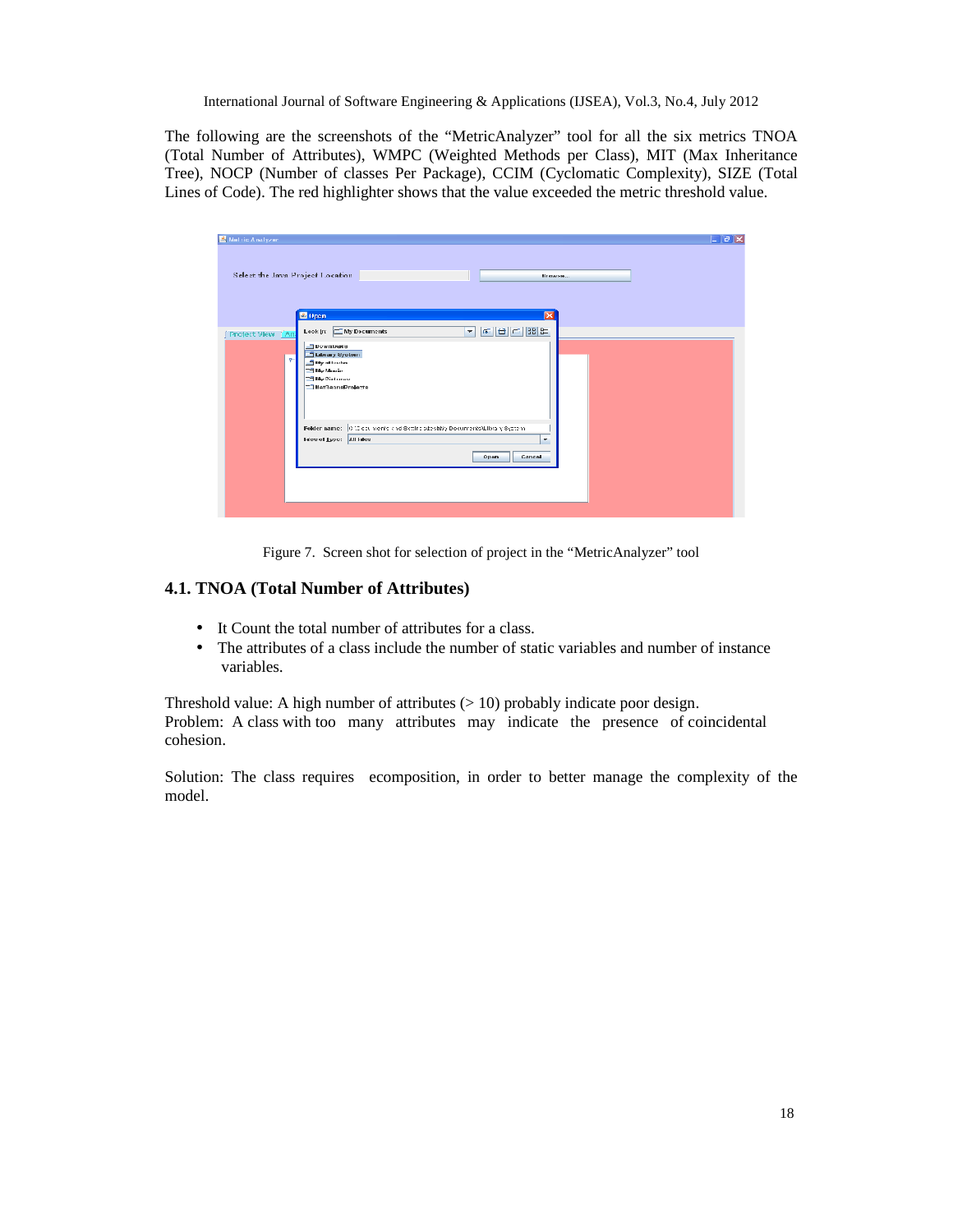The following are the screenshots of the "MetricAnalyzer" tool for all the six metrics TNOA (Total Number of Attributes), WMPC (Weighted Methods per Class), MIT (Max Inheritance Tree), NOCP (Number of classes Per Package), CCIM (Cyclomatic Complexity), SIZE (Total Lines of Code). The red highlighter shows that the value exceeded the metric threshold value.

| Mail ric Analyzar                |                                                                                                               | $\mathbf{L}$ alx |
|----------------------------------|---------------------------------------------------------------------------------------------------------------|------------------|
| Select the Java Project Location | Tirepurse<br><b>El</b> Open<br>⊠                                                                              |                  |
| Project View [An                 | - 6 8 5 8 5<br>Look (n: C My Documents<br><b>Bownloads</b>                                                    |                  |
| Ÿ.                               | <b>Jubrary System</b><br><b>Tay allooks</b><br>"  My Music:<br><b>Bay Pictures</b><br><b>NatBaansProjects</b> |                  |
|                                  | Folder name: 0000 car ments and Setting stepbbly Documents/Library System<br>Files of Lype: All Files<br>٠    |                  |
|                                  | Cancel<br>Opan                                                                                                |                  |
|                                  |                                                                                                               |                  |

Figure 7. Screen shot for selection of project in the "MetricAnalyzer" tool

#### **4.1. TNOA (Total Number of Attributes)**

- It Count the total number of attributes for a class.
- The attributes of a class include the number of static variables and number of instance variables.

Threshold value: A high number of attributes  $(> 10)$  probably indicate poor design. Problem: A class with too many attributes may indicate the presence of coincidental cohesion.

Solution: The class requires ecomposition, in order to better manage the complexity of the model.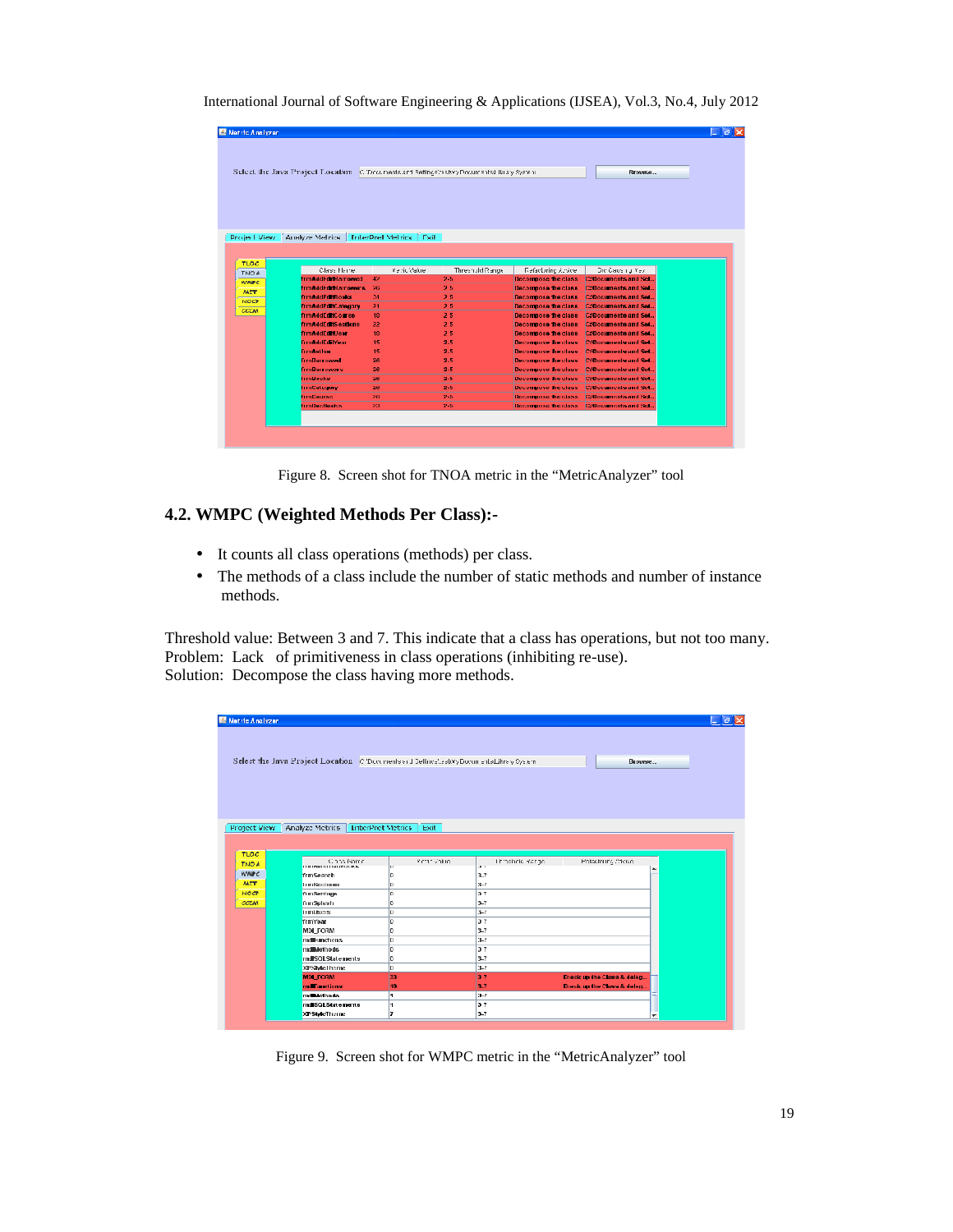|              |                                                              |     | Siele et the Java Project Location (C)Draunants and Batthesitastwy Pocurrents) this y System |                            | REDAVISA                                  |  |
|--------------|--------------------------------------------------------------|-----|----------------------------------------------------------------------------------------------|----------------------------|-------------------------------------------|--|
|              |                                                              |     |                                                                                              |                            |                                           |  |
|              |                                                              |     |                                                                                              |                            |                                           |  |
|              |                                                              |     |                                                                                              |                            |                                           |  |
|              |                                                              |     |                                                                                              |                            |                                           |  |
|              |                                                              |     |                                                                                              |                            |                                           |  |
|              |                                                              |     |                                                                                              |                            |                                           |  |
|              | Project View   Aciatyze Metrics   TriterPret Metrics   Fixit |     |                                                                                              |                            |                                           |  |
|              |                                                              |     |                                                                                              |                            |                                           |  |
| <b>TLOC</b>  |                                                              |     |                                                                                              |                            |                                           |  |
| <b>TNOA</b>  | Class Hame                                                   |     | Yetric Value<br>Threshold Range                                                              | Refacturing Acside         | Dre Causing Yez                           |  |
| <b>WMPC</b>  | trm#ddl-ddlKarromed.                                         | 42  | 2-5                                                                                          | Becompose the class.       | <b>COloruments and Sel.</b>               |  |
| <b>MIT</b>   | trmAddFdttBarrowers                                          | 26. | 2.5                                                                                          | <b>Hacomposa the class</b> | <b>C'Hocuments and Sell</b>               |  |
|              | frmAddFriftBooks                                             | 34  | 2.5                                                                                          | <b>Decompose the class</b> | <b>C: Documents and Set</b>               |  |
| <b>NOCE</b>  | frmAddFriftCategory                                          | 21  | 2.5                                                                                          | Decompose the class.       | <b>C: Documents and Set.</b>              |  |
| <b>CCTAN</b> | <b>frmAddEditCourse</b>                                      | 18  | 25                                                                                           | Decompose the class        | <b>C: Documents and Set</b>               |  |
|              | <b>frmAddEditSections</b>                                    | 22  | 25                                                                                           | Decompose the class        | <b>C/Documents and Set</b>                |  |
|              | <b>frmAddCdftUser</b>                                        | 10  | 25                                                                                           | Decompose the class        | <b>C/Documents and Set</b>                |  |
|              | <b>frmAddEdElYear</b>                                        | 15  | 2.5                                                                                          | <b>Decompose the class</b> | <b>C: Documents and Set.</b>              |  |
|              | <b>firmAuthor</b>                                            | 15  | 2.5                                                                                          | <b>Decompose the class</b> | C/Documents and Set.                      |  |
|              | <b>fimBarrowed</b>                                           | 26  | 2.5                                                                                          | <b>Decompose the class</b> | <b>C: Documents and Set.</b>              |  |
|              | <b>fimBarrowers</b>                                          | 26  | 2.5                                                                                          | <b>Decompose the class</b> | <b>C: Documents and Set.</b>              |  |
|              | <b>ImmBooks</b>                                              | 26  | 2-5                                                                                          | <b>Decompose the class</b> | <b>Croocuments and Set.</b>               |  |
|              | <b>ImmCategory</b>                                           | 26  | 2-5                                                                                          | Decompose the class.       | <b>C: Uocuments and Set.</b>              |  |
|              |                                                              | 26  | 2-5                                                                                          | Becompose the class.       | <b>C'Hocuments and Sel.</b>               |  |
|              | trmCourse                                                    | 23  | 2-5                                                                                          |                            | Becompose the class [201ocuments and Sel. |  |

Figure 8. Screen shot for TNOA metric in the "MetricAnalyzer" tool

## **4.2. WMPC (Weighted Methods Per Class):-**

- It counts all class operations (methods) per class.
- The methods of a class include the number of static methods and number of instance methods.

Threshold value: Between 3 and 7. This indicate that a class has operations, but not too many. Problem: Lack of primitiveness in class operations (inhibiting re-use). Solution: Decompose the class having more methods.

| Matric Analyzer |                                                                                            |             |                                 |                            |
|-----------------|--------------------------------------------------------------------------------------------|-------------|---------------------------------|----------------------------|
|                 |                                                                                            |             |                                 |                            |
|                 | Select the Java Project Location C (Ducchenis and Delline Easter) Documents Library Operam |             |                                 | <b>Browse</b>              |
|                 |                                                                                            |             |                                 |                            |
|                 |                                                                                            |             |                                 |                            |
|                 |                                                                                            |             |                                 |                            |
|                 |                                                                                            |             |                                 |                            |
|                 |                                                                                            |             |                                 |                            |
|                 | Project View   Analyze Metrics   InterPret Metrics   Exit                                  |             |                                 |                            |
|                 |                                                                                            |             |                                 |                            |
|                 |                                                                                            |             |                                 |                            |
| TLOC            |                                                                                            |             |                                 |                            |
| <b>TNOA</b>     | Class Name<br><b>THEPSHERITHERICKS</b>                                                     | Motor Volum | Throshels Hange<br>$\mathbf{r}$ | Petachung Aferce           |
| <b>WMPC</b>     | frmSearch                                                                                  | 10          | $3 - 7$                         | Ä.                         |
| <b>MIT</b>      | <b>TranSections</b>                                                                        | lo.         | $3 - 1$                         |                            |
| <b>NOCP</b>     | frmSettings                                                                                | lo.         | 37                              |                            |
| <b>CCTAN</b>    | frinSplash                                                                                 | lo          | $3 - 7$                         |                            |
|                 | <b>Industries</b>                                                                          | lo.         | $3 - 1$                         |                            |
|                 |                                                                                            |             |                                 |                            |
|                 | frmYear                                                                                    | lo          | 37                              |                            |
|                 | <b>MDLFORM</b>                                                                             | ۱o          | $3-7$                           |                            |
|                 | mdl-unctions                                                                               | lo.         | $1 - \ell$                      |                            |
|                 | mdBArdhods                                                                                 | lo.         | 37                              |                            |
|                 | mdPSQLStatements                                                                           | lo.         | $3 - 7$                         |                            |
|                 | XPShyle Themic                                                                             | lo.         | H                               |                            |
|                 | <b>MDL_FORM</b>                                                                            | 33          | 37                              | Break up the Class & deleg |
|                 | <b>mdFunctions</b>                                                                         | 10          | $3 - 7$                         | Breaking the Class & deleg |
|                 | modelhoos.                                                                                 | I٦          | $\mathcal{L}$                   |                            |
|                 | muscl_statements<br>XPStweTheme                                                            | I٦          | 37<br>$3 - 7$                   |                            |

Figure 9. Screen shot for WMPC metric in the "MetricAnalyzer" tool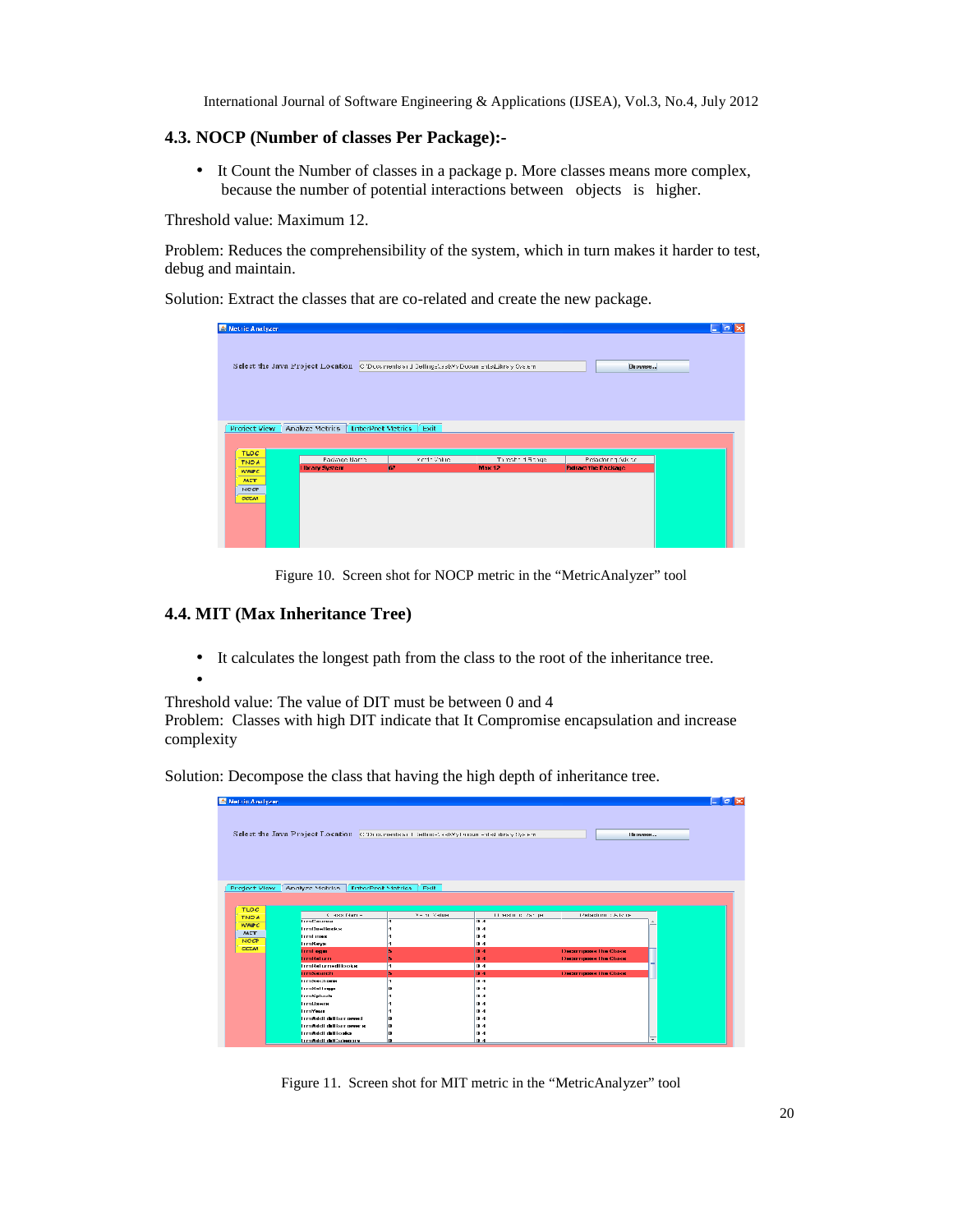#### **4.3. NOCP (Number of classes Per Package):-**

• It Count the Number of classes in a package p. More classes means more complex, because the number of potential interactions between objects is higher.

Threshold value: Maximum 12.

Problem: Reduces the comprehensibility of the system, which in turn makes it harder to test, debug and maintain.

Solution: Extract the classes that are co-related and create the new package.

| <b>E</b> Metric Analyzer   |                                            |                                                                                             |                 |                            |  |
|----------------------------|--------------------------------------------|---------------------------------------------------------------------------------------------|-----------------|----------------------------|--|
|                            |                                            |                                                                                             |                 |                            |  |
|                            |                                            |                                                                                             |                 |                            |  |
|                            |                                            | Select the Java Project Location C (Decoments and Dellings).asky's Documents Library Overem |                 | <b>Beoverse</b>            |  |
|                            |                                            |                                                                                             |                 |                            |  |
|                            |                                            |                                                                                             |                 |                            |  |
|                            |                                            |                                                                                             |                 |                            |  |
|                            |                                            |                                                                                             |                 |                            |  |
| Project View               | Analyze Metrics   InterPret Metrics   Exit |                                                                                             |                 |                            |  |
|                            |                                            |                                                                                             |                 |                            |  |
|                            |                                            |                                                                                             |                 |                            |  |
| <b>TLOC</b><br><b>TNOA</b> | Pacimgo Narro                              | victor Value                                                                                | Threshold Ronge | Profactor ng Adelta        |  |
| <b>WMPC</b>                | I Ibrary System                            | 67                                                                                          | Max 12          | <b>Pidract the Package</b> |  |
| <b>MIT</b>                 |                                            |                                                                                             |                 |                            |  |
| NOCP                       |                                            |                                                                                             |                 |                            |  |
| CCTAN                      |                                            |                                                                                             |                 |                            |  |
|                            |                                            |                                                                                             |                 |                            |  |
|                            |                                            |                                                                                             |                 |                            |  |
|                            |                                            |                                                                                             |                 |                            |  |
|                            |                                            |                                                                                             |                 |                            |  |
|                            |                                            |                                                                                             |                 |                            |  |

Figure 10. Screen shot for NOCP metric in the "MetricAnalyzer" tool

#### **4.4. MIT (Max Inheritance Tree)**

- It calculates the longest path from the class to the root of the inheritance tree.
- •

Threshold value: The value of DIT must be between 0 and 4

Problem: Classes with high DIT indicate that It Compromise encapsulation and increase complexity

Solution: Decompose the class that having the high depth of inheritance tree.

|               |                                                                                          |                                          |                   |                              | $ \sigma$ $\sim$ |
|---------------|------------------------------------------------------------------------------------------|------------------------------------------|-------------------|------------------------------|------------------|
|               |                                                                                          |                                          |                   |                              |                  |
|               |                                                                                          |                                          |                   |                              |                  |
|               | Select the Java Project Location COD currents at Lietting-GodWyToncan -hist dosy (ys em- |                                          |                   | I la rayunces                |                  |
|               |                                                                                          |                                          |                   |                              |                  |
|               |                                                                                          |                                          |                   |                              |                  |
|               |                                                                                          |                                          |                   |                              |                  |
|               |                                                                                          |                                          |                   |                              |                  |
|               |                                                                                          |                                          |                   |                              |                  |
| Project View. | Analyze Motrics                                                                          | <b>TitterPref Metrics</b><br><b>Exit</b> |                   |                              |                  |
|               |                                                                                          |                                          |                   |                              |                  |
|               |                                                                                          |                                          |                   |                              |                  |
| TLOC          | C Hoose Floam -                                                                          | Y = m Malue                              | Thestin clicks pe | Palachini : K le ce          |                  |
| <b>TNOA</b>   | <b>TrenCourse</b>                                                                        | a                                        | $\overline{0.4}$  |                              |                  |
| <b>WARC</b>   | <b>Treduelkooks</b>                                                                      |                                          |                   |                              |                  |
|               |                                                                                          |                                          | 0.4               |                              |                  |
| <b>MIT</b>    | <b>Irrid mass</b>                                                                        |                                          | 0.4               |                              |                  |
| <b>NOCE</b>   | <b>Trinkeys</b>                                                                          |                                          | 0.4               |                              |                  |
| CCTAN         | <b>Time legal</b>                                                                        |                                          | 0.4               | <b>Decorripose the Choos</b> |                  |
|               | <b>IrrnReturn</b>                                                                        |                                          | 0.4               | Decorripose the Classe       |                  |
|               | <b>Irrillelurnadilooke</b>                                                               | и                                        | 0.4               |                              |                  |
|               | <b>TrenSooneh</b>                                                                        | ь                                        | 0.4               | <b>Гласитурова Пля СБоза</b> |                  |
|               | TrenSections                                                                             | l۸                                       | 0.4               |                              |                  |
|               | <b>TrriSettings</b>                                                                      | n                                        | 0.4               |                              |                  |
|               | <b>TrrnSplanch</b>                                                                       |                                          | 0.4               |                              |                  |
|               | <b>Irrithesia</b>                                                                        |                                          | 0.4               |                              |                  |
|               | <b>ITTIYesis</b>                                                                         |                                          | 0.4               |                              |                  |
|               | <b>IrrnAddi dillian owed</b>                                                             | m                                        | 0.4               |                              |                  |
|               | <b>Irrifiddi dilliarrowers</b><br><b>Irrinddi dillionkx</b>                              | n<br>o                                   | $B - 4$<br>0.4    |                              |                  |

Figure 11. Screen shot for MIT metric in the "MetricAnalyzer" tool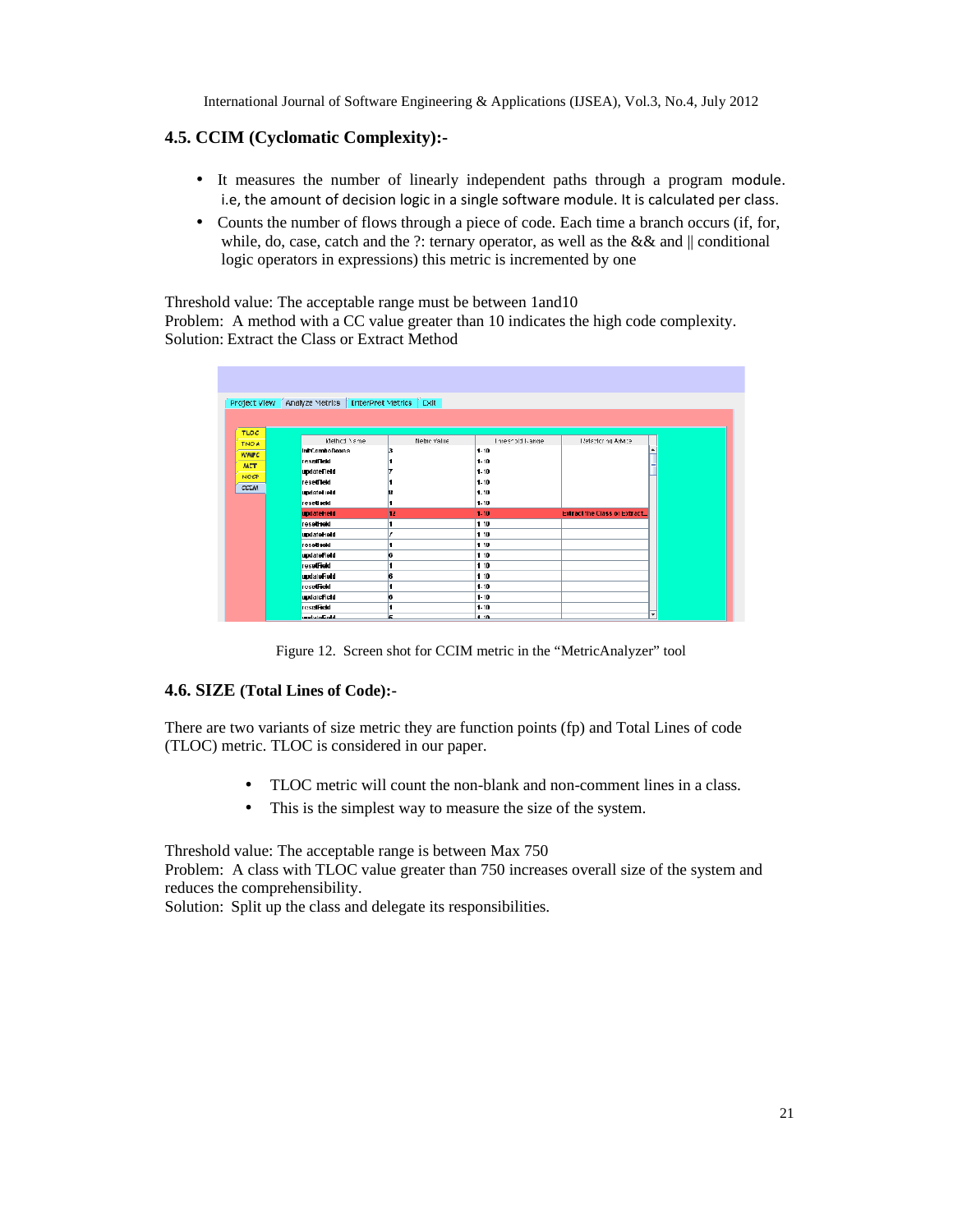## **4.5. CCIM (Cyclomatic Complexity):-**

- It measures the number of linearly independent paths through a program module. i.e, the amount of decision logic in a single software module. It is calculated per class.
- Counts the number of flows through a piece of code. Each time a branch occurs (if, for, while, do, case, catch and the ?: ternary operator, as well as the && and  $\parallel$  conditional logic operators in expressions) this metric is incremented by one

Threshold value: The acceptable range must be between 1and10 Problem: A method with a CC value greater than 10 indicates the high code complexity.

Solution: Extract the Class or Extract Method

|                   | Project View Analyze Metrics   InterPret Metrics   Exit |                  |                              |  |
|-------------------|---------------------------------------------------------|------------------|------------------------------|--|
|                   |                                                         |                  |                              |  |
|                   |                                                         |                  |                              |  |
| Method Name       | Metric Value                                            | Intescold Isange | <b>Idefactor ng Advice</b>   |  |
| InitComboDoxes    |                                                         | $1 - 10$         |                              |  |
| <b>resetTletd</b> |                                                         | $1 - 10$         |                              |  |
| updateField       |                                                         | $1 - 10$         |                              |  |
| <b>resetTlekt</b> |                                                         | $1 - 10$         |                              |  |
| updatel reid      |                                                         | $1 - 10$         |                              |  |
| resett rekt       |                                                         | $1 - 10$         |                              |  |
| updateField       | 12                                                      | $1-10$           | Extract the Class or Extract |  |
| <b>resativaid</b> |                                                         | 1 10             |                              |  |
| updater reid      |                                                         | 1 10             |                              |  |
| resett read       |                                                         | 1 10             |                              |  |
| updateField       | lG.                                                     | 1 1 0            |                              |  |
| <b>resulField</b> |                                                         | 1 1 0            |                              |  |
| updateField       |                                                         | 1 1 0            |                              |  |
|                   |                                                         |                  |                              |  |
| <b>resetField</b> |                                                         | $1 - 10$         |                              |  |

Figure 12. Screen shot for CCIM metric in the "MetricAnalyzer" tool

## **4.6. SIZE (Total Lines of Code):-**

There are two variants of size metric they are function points (fp) and Total Lines of code (TLOC) metric. TLOC is considered in our paper.

- TLOC metric will count the non-blank and non-comment lines in a class.
- This is the simplest way to measure the size of the system.

Threshold value: The acceptable range is between Max 750

Problem: A class with TLOC value greater than 750 increases overall size of the system and reduces the comprehensibility.

Solution: Split up the class and delegate its responsibilities.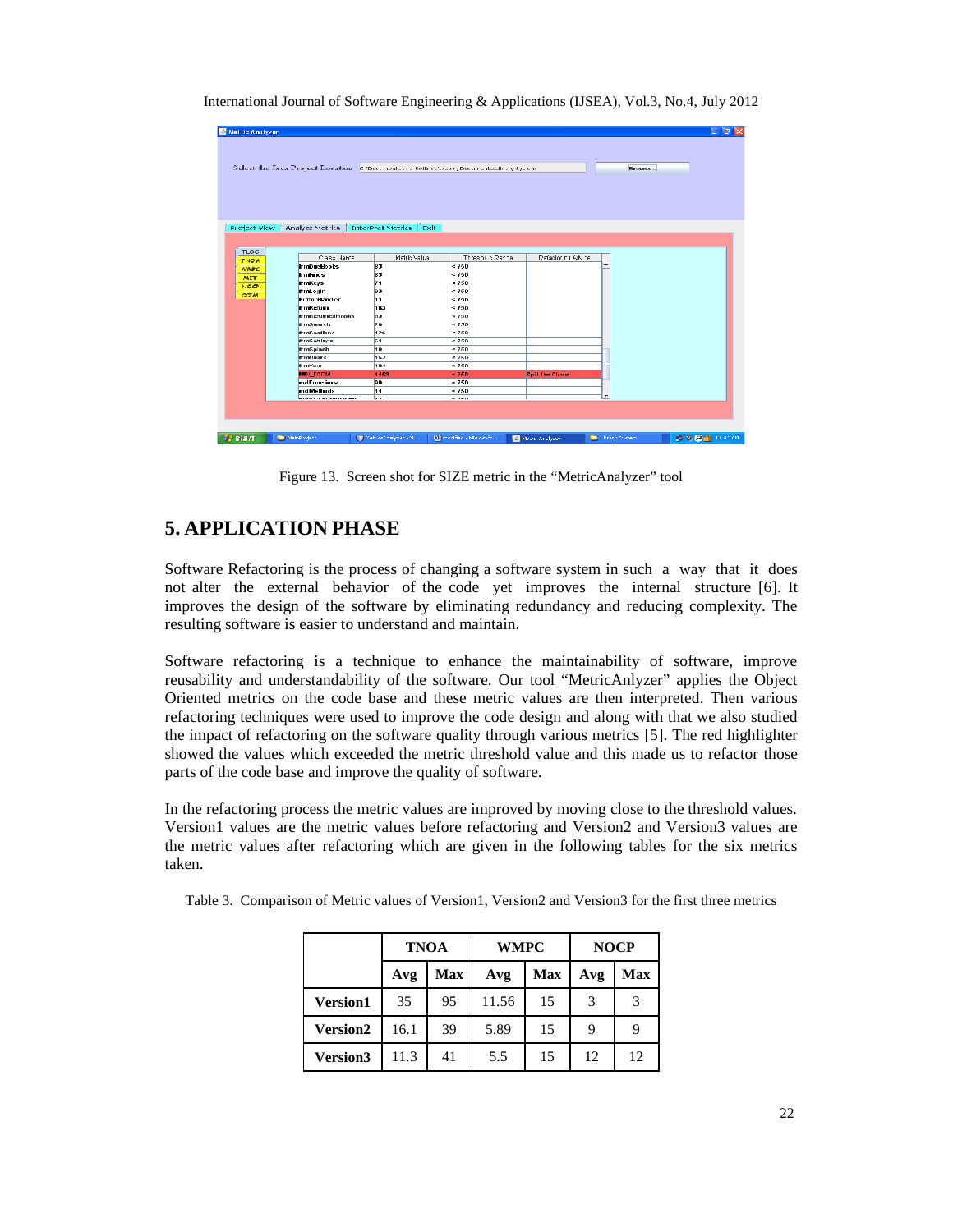| Mulric Analyzer            |                                                                                           |                                 |                                    |                         |                          | 口回文             |
|----------------------------|-------------------------------------------------------------------------------------------|---------------------------------|------------------------------------|-------------------------|--------------------------|-----------------|
|                            |                                                                                           |                                 |                                    |                         |                          |                 |
|                            | Select the Java Project Location of them nents and Beffinethestery Documents@libray@ystem |                                 |                                    |                         | Browse                   |                 |
|                            |                                                                                           |                                 |                                    |                         |                          |                 |
|                            | Project View   Analyze Motrics   InterPret Metrics   Exit                                 |                                 |                                    |                         |                          |                 |
|                            |                                                                                           |                                 |                                    |                         |                          |                 |
| TLOC                       | Class Hame                                                                                | ktetric Vslua                   | Threshold Ranne                    | Defactor ng Advine      |                          |                 |
| <b>TNOA</b><br><b>WARC</b> | <b>IrmDucBooks</b>                                                                        | lep.                            | 4.750                              |                         | ۰                        |                 |
|                            | <b>Irmines</b>                                                                            | BJ                              | 4.750                              |                         |                          |                 |
| <b>MIT</b>                 | <b>frmKeys</b>                                                                            | 71                              | 4750                               |                         |                          |                 |
| <b>NOCT</b>                | <b>hrmLogin</b>                                                                           | 93                              | $-750$                             |                         |                          |                 |
| <b>CCTAN</b>               | <b>ButtonHandler</b>                                                                      | 11                              | $-750$                             |                         |                          |                 |
|                            | <b>frmReturn</b>                                                                          | 183                             | 3750                               |                         |                          |                 |
|                            | <b>IrmReturnedBooks</b>                                                                   | B3                              | 3750                               |                         |                          |                 |
|                            | frmSearch                                                                                 | 20                              | < 750                              |                         |                          |                 |
|                            | frmSactions                                                                               | 126                             | < 750                              |                         |                          |                 |
|                            | frmSattings                                                                               | 61                              | < 750                              |                         |                          |                 |
|                            | frmSplash                                                                                 | 10                              | 4750                               |                         |                          |                 |
|                            | frmUsers.                                                                                 | 152                             | 4750                               |                         |                          |                 |
|                            | <b>formWest</b>                                                                           | 101                             | $-750$                             |                         |                          |                 |
|                            | <b>MDI FORM</b>                                                                           | 1453                            | $-750$                             | <b>Split Has Choose</b> |                          |                 |
|                            | mdlf unclianx                                                                             | pa                              | $-750$                             |                         |                          |                 |
|                            | multimationus                                                                             | 14                              | $ \epsilon$ 50                     |                         | $\overline{\phantom{a}}$ |                 |
|                            | constitute of Afficiations constant                                                       | law                             | $\omega$ , where $\omega$          |                         |                          |                 |
|                            |                                                                                           |                                 |                                    |                         |                          |                 |
|                            |                                                                                           |                                 |                                    |                         |                          |                 |
|                            |                                                                                           |                                 |                                    |                         |                          |                 |
| <b>By start</b>            | <b>De MelhP vijwit</b>                                                                    | The Metric of Analysis of Allis | <b>Bill modified - Moressity -</b> | A Mean, Andecor         | <b>Countries</b> Contact | ■ 9 A ■ IL + 2M |

Figure 13. Screen shot for SIZE metric in the "MetricAnalyzer" tool

# **5. APPLICATION PHASE**

Software Refactoring is the process of changing a software system in such a way that it does not alter the external behavior of the code yet improves the internal structure [6]. It improves the design of the software by eliminating redundancy and reducing complexity. The resulting software is easier to understand and maintain.

Software refactoring is a technique to enhance the maintainability of software, improve reusability and understandability of the software. Our tool "MetricAnlyzer" applies the Object Oriented metrics on the code base and these metric values are then interpreted. Then various refactoring techniques were used to improve the code design and along with that we also studied the impact of refactoring on the software quality through various metrics [5]. The red highlighter showed the values which exceeded the metric threshold value and this made us to refactor those parts of the code base and improve the quality of software.

In the refactoring process the metric values are improved by moving close to the threshold values. Version1 values are the metric values before refactoring and Version2 and Version3 values are the metric values after refactoring which are given in the following tables for the six metrics taken.

|                 | <b>TNOA</b> |     | <b>WMPC</b> |            | <b>NOCP</b> |     |  |
|-----------------|-------------|-----|-------------|------------|-------------|-----|--|
|                 | Avg         | Max | Avg         | <b>Max</b> | Avg         | Max |  |
| <b>Version1</b> | 35          | 95  | 11.56       | 15         | 3           | 3   |  |
| <b>Version2</b> | 16.1        | 39  | 5.89        | 15         | 9           | 9   |  |
| <b>Version3</b> | 11.3        | 41  | 5.5         | 15         | 12          | 12  |  |

Table 3. Comparison of Metric values of Version1, Version2 and Version3 for the first three metrics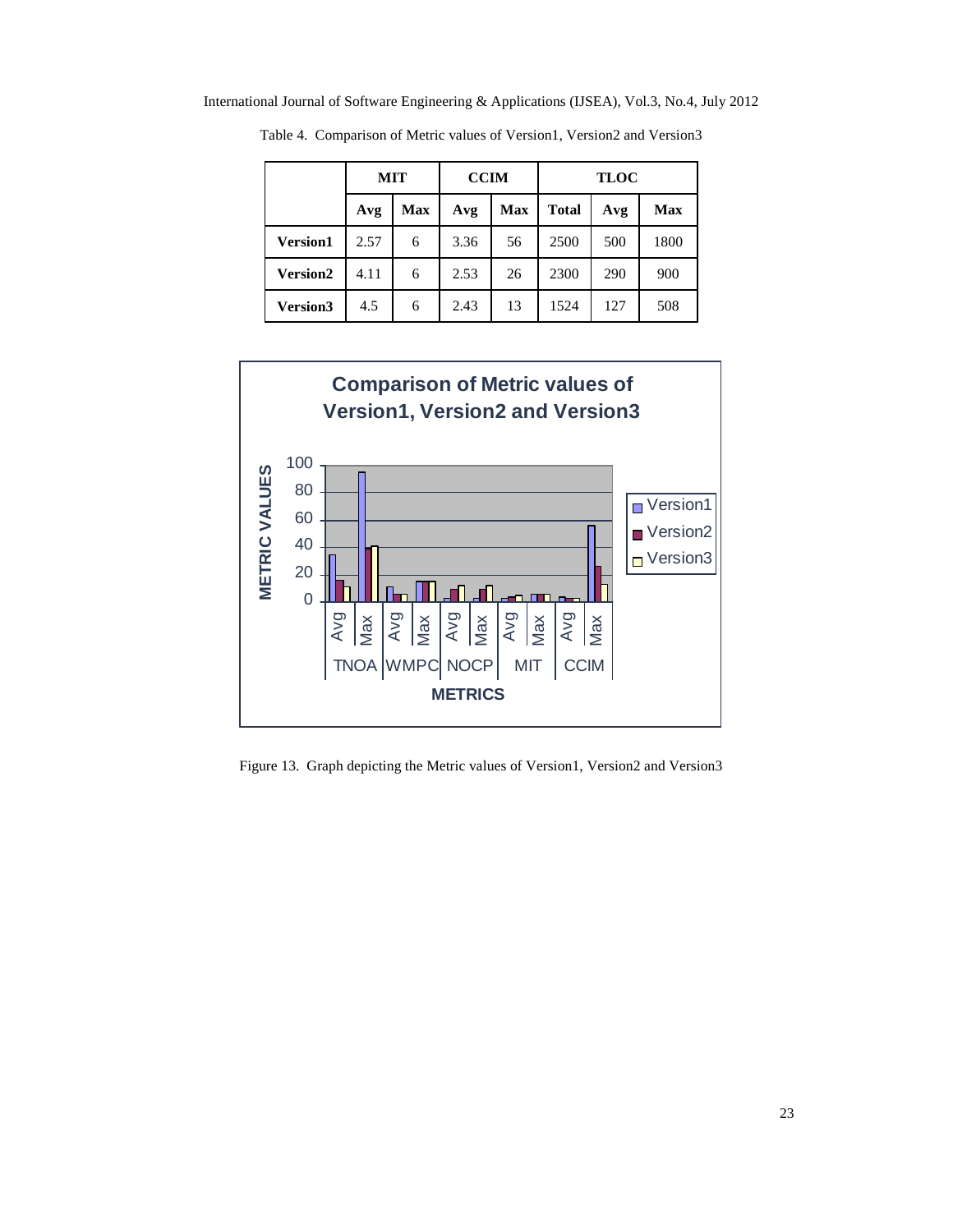|                 | <b>MIT</b> |     | <b>CCIM</b> |     | <b>TLOC</b>  |     |            |
|-----------------|------------|-----|-------------|-----|--------------|-----|------------|
|                 | Avg        | Max | Avg         | Max | <b>Total</b> | Avg | <b>Max</b> |
| <b>Version1</b> | 2.57       | 6   | 3.36        | 56  | 2500         | 500 | 1800       |
| Version2        | 4.11       | 6   | 2.53        | 26  | 2300         | 290 | 900        |
| Version3        | 4.5        | 6   | 2.43        | 13  | 1524         | 127 | 508        |

Table 4. Comparison of Metric values of Version1, Version2 and Version3



Figure 13. Graph depicting the Metric values of Version1, Version2 and Version3